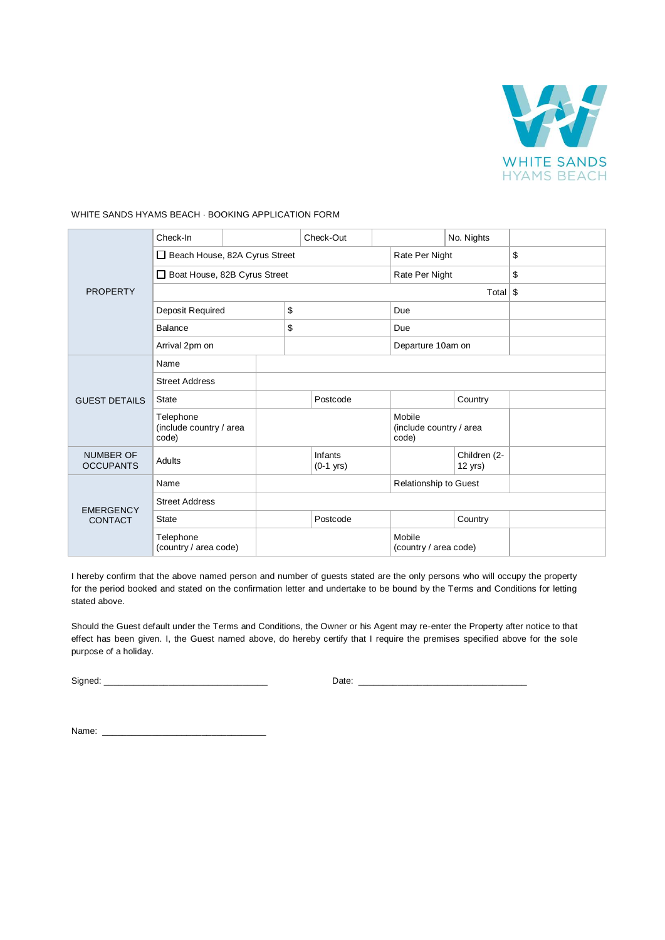

| <b>PROPERTY</b>                      | Check-In                                      |  |    | Check-Out              |                |                                            | No. Nights                |  |
|--------------------------------------|-----------------------------------------------|--|----|------------------------|----------------|--------------------------------------------|---------------------------|--|
|                                      | Beach House, 82A Cyrus Street                 |  |    |                        | Rate Per Night |                                            | \$                        |  |
|                                      | Boat House, 82B Cyrus Street                  |  |    |                        | Rate Per Night |                                            | \$                        |  |
|                                      | Total $\frac{1}{3}$                           |  |    |                        |                |                                            |                           |  |
|                                      | Deposit Required                              |  | \$ |                        |                | Due                                        |                           |  |
|                                      | <b>Balance</b>                                |  | \$ |                        | Due            |                                            |                           |  |
|                                      | Arrival 2pm on                                |  |    |                        |                | Departure 10am on                          |                           |  |
| <b>GUEST DETAILS</b>                 | Name                                          |  |    |                        |                |                                            |                           |  |
|                                      | <b>Street Address</b>                         |  |    |                        |                |                                            |                           |  |
|                                      | <b>State</b>                                  |  |    | Postcode               |                |                                            | Country                   |  |
|                                      | Telephone<br>(include country / area<br>code) |  |    |                        |                | Mobile<br>(include country / area<br>code) |                           |  |
| <b>NUMBER OF</b><br><b>OCCUPANTS</b> | Adults                                        |  |    | Infants<br>$(0-1$ yrs) |                |                                            | Children (2-<br>$12$ yrs) |  |
| <b>EMERGENCY</b><br><b>CONTACT</b>   | Name                                          |  |    |                        |                | Relationship to Guest                      |                           |  |
|                                      | <b>Street Address</b>                         |  |    |                        |                |                                            |                           |  |
|                                      | <b>State</b>                                  |  |    | Postcode               |                |                                            | Country                   |  |
|                                      | Telephone<br>(country / area code)            |  |    |                        |                | Mobile<br>(country / area code)            |                           |  |

## WHITE SANDS HYAMS BEACH · BOOKING APPLICATION FORM

I hereby confirm that the above named person and number of guests stated are the only persons who will occupy the property for the period booked and stated on the confirmation letter and undertake to be bound by the Terms and Conditions for letting stated above.

Should the Guest default under the Terms and Conditions, the Owner or his Agent may re-enter the Property after notice to that effect has been given. I, the Guest named above, do hereby certify that I require the premises specified above for the sole purpose of a holiday.

Signed: \_\_\_\_\_\_\_\_\_\_\_\_\_\_\_\_\_\_\_\_\_\_\_\_\_\_\_\_\_\_\_\_\_ Date: \_\_\_\_\_\_\_\_\_\_\_\_\_\_\_\_\_\_\_\_\_\_\_\_\_\_\_\_\_\_\_\_\_\_

Name: \_\_\_\_\_\_\_\_\_\_\_\_\_\_\_\_\_\_\_\_\_\_\_\_\_\_\_\_\_\_\_\_\_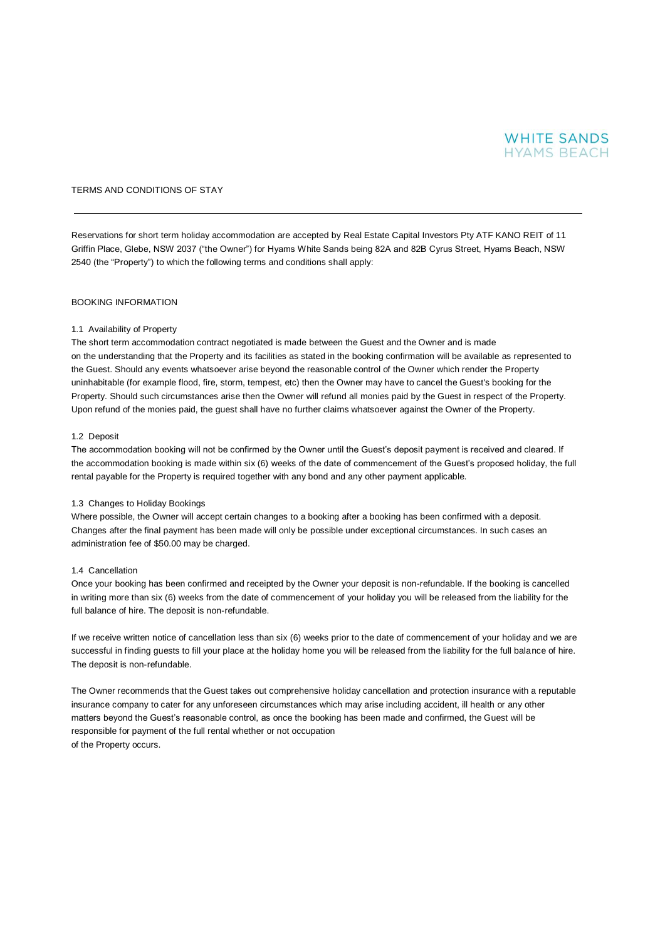

## TERMS AND CONDITIONS OF STAY

Reservations for short term holiday accommodation are accepted by Real Estate Capital Investors Pty ATF KANO REIT of 11 Griffin Place, Glebe, NSW 2037 ("the Owner") for Hyams White Sands being 82A and 82B Cyrus Street, Hyams Beach, NSW 2540 (the "Property") to which the following terms and conditions shall apply:

## BOOKING INFORMATION

## 1.1 Availability of Property

The short term accommodation contract negotiated is made between the Guest and the Owner and is made on the understanding that the Property and its facilities as stated in the booking confirmation will be available as represented to the Guest. Should any events whatsoever arise beyond the reasonable control of the Owner which render the Property uninhabitable (for example flood, fire, storm, tempest, etc) then the Owner may have to cancel the Guest's booking for the Property. Should such circumstances arise then the Owner will refund all monies paid by the Guest in respect of the Property. Upon refund of the monies paid, the guest shall have no further claims whatsoever against the Owner of the Property.

#### 1.2 Deposit

The accommodation booking will not be confirmed by the Owner until the Guest's deposit payment is received and cleared. If the accommodation booking is made within six (6) weeks of the date of commencement of the Guest's proposed holiday, the full rental payable for the Property is required together with any bond and any other payment applicable.

#### 1.3 Changes to Holiday Bookings

Where possible, the Owner will accept certain changes to a booking after a booking has been confirmed with a deposit. Changes after the final payment has been made will only be possible under exceptional circumstances. In such cases an administration fee of \$50.00 may be charged.

#### 1.4 Cancellation

Once your booking has been confirmed and receipted by the Owner your deposit is non-refundable. If the booking is cancelled in writing more than six (6) weeks from the date of commencement of your holiday you will be released from the liability for the full balance of hire. The deposit is non-refundable.

If we receive written notice of cancellation less than six (6) weeks prior to the date of commencement of your holiday and we are successful in finding guests to fill your place at the holiday home you will be released from the liability for the full balance of hire. The deposit is non-refundable.

The Owner recommends that the Guest takes out comprehensive holiday cancellation and protection insurance with a reputable insurance company to cater for any unforeseen circumstances which may arise including accident, ill health or any other matters beyond the Guest's reasonable control, as once the booking has been made and confirmed, the Guest will be responsible for payment of the full rental whether or not occupation of the Property occurs.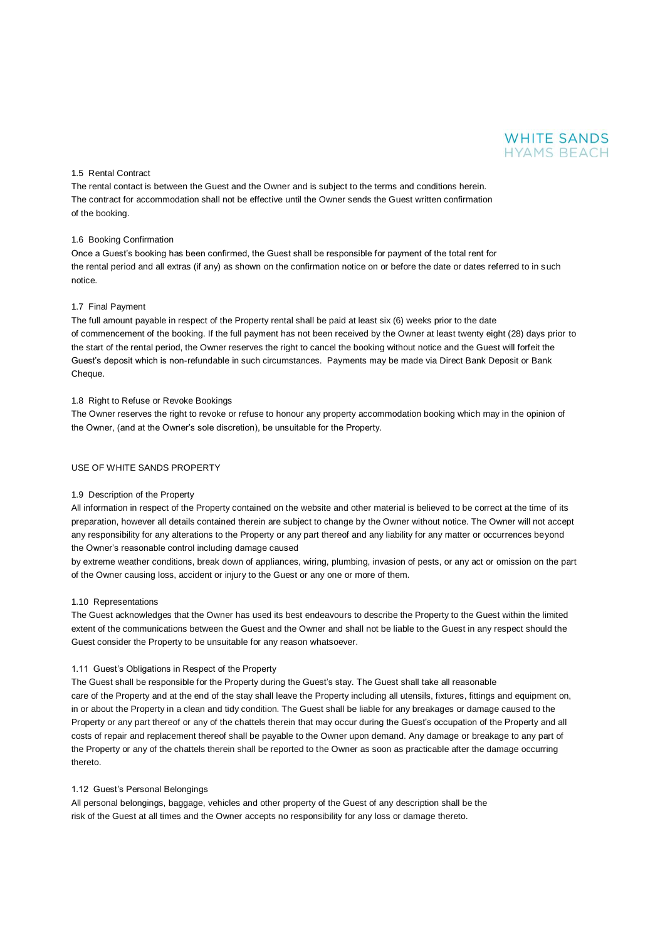

## 1.5 Rental Contract

The rental contact is between the Guest and the Owner and is subject to the terms and conditions herein. The contract for accommodation shall not be effective until the Owner sends the Guest written confirmation of the booking.

#### 1.6 Booking Confirmation

Once a Guest's booking has been confirmed, the Guest shall be responsible for payment of the total rent for the rental period and all extras (if any) as shown on the confirmation notice on or before the date or dates referred to in such notice.

#### 1.7 Final Payment

The full amount payable in respect of the Property rental shall be paid at least six (6) weeks prior to the date of commencement of the booking. If the full payment has not been received by the Owner at least twenty eight (28) days prior to the start of the rental period, the Owner reserves the right to cancel the booking without notice and the Guest will forfeit the Guest's deposit which is non-refundable in such circumstances. Payments may be made via Direct Bank Deposit or Bank Cheque.

#### 1.8 Right to Refuse or Revoke Bookings

The Owner reserves the right to revoke or refuse to honour any property accommodation booking which may in the opinion of the Owner, (and at the Owner's sole discretion), be unsuitable for the Property.

#### USE OF WHITE SANDS PROPERTY

## 1.9 Description of the Property

All information in respect of the Property contained on the website and other material is believed to be correct at the time of its preparation, however all details contained therein are subject to change by the Owner without notice. The Owner will not accept any responsibility for any alterations to the Property or any part thereof and any liability for any matter or occurrences beyond the Owner's reasonable control including damage caused

by extreme weather conditions, break down of appliances, wiring, plumbing, invasion of pests, or any act or omission on the part of the Owner causing loss, accident or injury to the Guest or any one or more of them.

#### 1.10 Representations

The Guest acknowledges that the Owner has used its best endeavours to describe the Property to the Guest within the limited extent of the communications between the Guest and the Owner and shall not be liable to the Guest in any respect should the Guest consider the Property to be unsuitable for any reason whatsoever.

#### 1.11 Guest's Obligations in Respect of the Property

The Guest shall be responsible for the Property during the Guest's stay. The Guest shall take all reasonable care of the Property and at the end of the stay shall leave the Property including all utensils, fixtures, fittings and equipment on, in or about the Property in a clean and tidy condition. The Guest shall be liable for any breakages or damage caused to the Property or any part thereof or any of the chattels therein that may occur during the Guest's occupation of the Property and all costs of repair and replacement thereof shall be payable to the Owner upon demand. Any damage or breakage to any part of the Property or any of the chattels therein shall be reported to the Owner as soon as practicable after the damage occurring thereto.

## 1.12 Guest's Personal Belongings

All personal belongings, baggage, vehicles and other property of the Guest of any description shall be the risk of the Guest at all times and the Owner accepts no responsibility for any loss or damage thereto.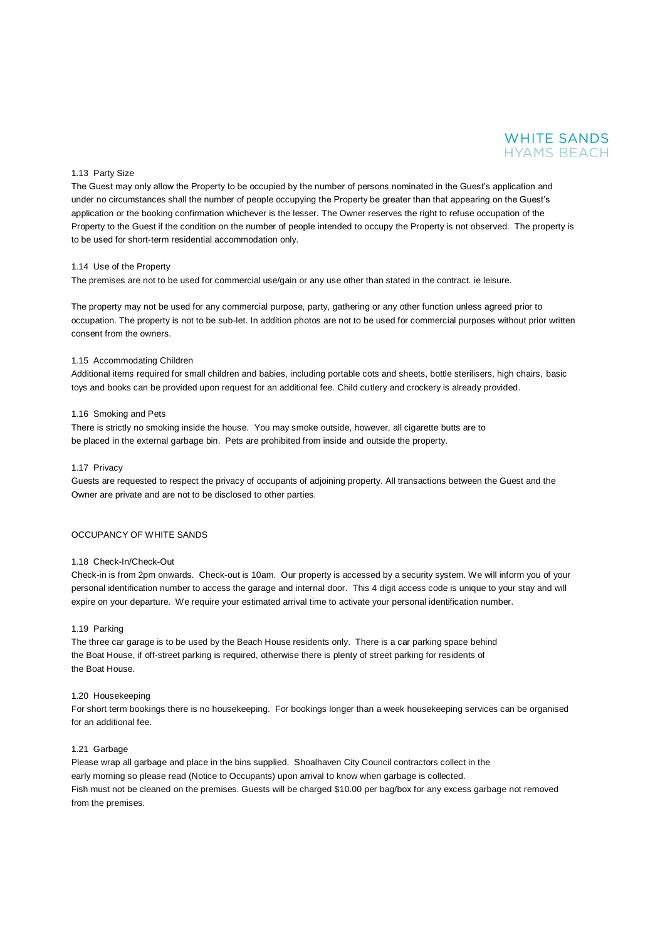# **WHITE SANDS HYAMS BEACH**

#### 1.13 Party Size

The Guest may only allow the Property to be occupied by the number of persons nominated in the Guest's application and under no circumstances shall the number of people occupying the Property be greater than that appearing on the Guest's application or the booking confirmation whichever is the lesser. The Owner reserves the right to refuse occupation of the Property to the Guest if the condition on the number of people intended to occupy the Property is not observed. The property is to be used for short-term residential accommodation only.

#### 1.14 Use of the Property

The premises are not to be used for commercial use/gain or any use other than stated in the contract. ie leisure.

The property may not be used for any commercial purpose, party, gathering or any other function unless agreed prior to occupation. The property is not to be sub-let. In addition photos are not to be used for commercial purposes without prior written consent from the owners.

## 1.15 Accommodating Children

Additional items required for small children and babies, including portable cots and sheets, bottle sterilisers, high chairs, basic toys and books can be provided upon request for an additional fee. Child cutlery and crockery is already provided.

## 1.16 Smoking and Pets

There is strictly no smoking inside the house. You may smoke outside, however, all cigarette butts are to be placed in the external garbage bin. Pets are prohibited from inside and outside the property.

#### 1.17 Privacy

Guests are requested to respect the privacy of occupants of adjoining property. All transactions between the Guest and the Owner are private and are not to be disclosed to other parties.

## OCCUPANCY OF WHITE SANDS

#### 1.18 Check-In/Check-Out

Check-in is from 2pm onwards. Check-out is 10am. Our property is accessed by a security system. We will inform you of your personal identification number to access the garage and internal door. This 4 digit access code is unique to your stay and will expire on your departure. We require your estimated arrival time to activate your personal identification number.

## 1.19 Parking

The three car garage is to be used by the Beach House residents only. There is a car parking space behind the Boat House, if off-street parking is required, otherwise there is plenty of street parking for residents of the Boat House.

#### 1.20 Housekeeping

For short term bookings there is no housekeeping. For bookings longer than a week housekeeping services can be organised for an additional fee.

## 1.21 Garbage

Please wrap all garbage and place in the bins supplied. Shoalhaven City Council contractors collect in the early morning so please read (Notice to Occupants) upon arrival to know when garbage is collected. Fish must not be cleaned on the premises. Guests will be charged \$10.00 per bag/box for any excess garbage not removed from the premises.